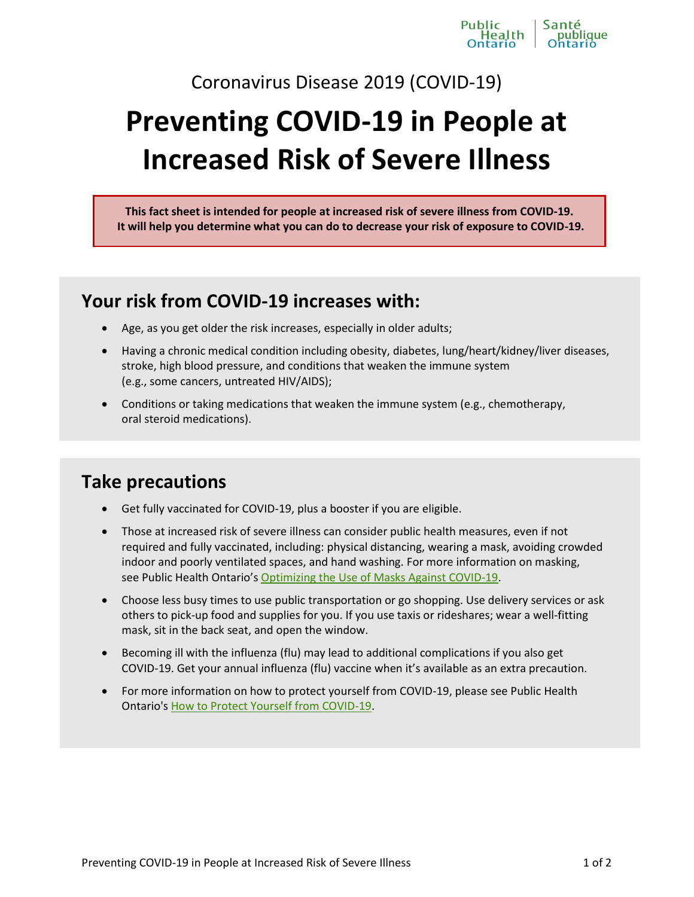Coronavirus Disease 2019 (COVID-19)

# **Preventing COVID-19 in People at Increased Risk of Severe Illness**

**This fact sheet is intended for people at increased risk of severe illness from COVID-19. It will help you determine what you can do to decrease your risk of exposure to COVID-19.**

### **Your risk from COVID-19 increases with:**

- Age, as you get older the risk increases, especially in older adults;
- Having a chronic medical condition including obesity, diabetes, lung/heart/kidney/liver diseases, stroke, high blood pressure, and conditions that weaken the immune system (e.g., some cancers, untreated HIV/AIDS);
- Conditions or taking medications that weaken the immune system (e.g., chemotherapy, oral steroid medications).

## **Take precautions**

- Get fully vaccinated for COVID-19, plus a booster if you are eligible.
- Those at increased risk of severe illness can consider public health measures, even if not required and fully vaccinated, including: physical distancing, wearing a mask, avoiding crowded indoor and poorly ventilated spaces, and hand washing. For more information on masking, see Public Health Ontario's [Optimizing the Use of Masks Against COVID-19.](https://www.publichealthontario.ca/-/media/documents/ncov/covid-19-fact-sheet-optimizing-masks.pdf?sc_lang=en&hash=EDA29B0E81CDCFBAC2CED5869A20AE83)
- Choose less busy times to use public transportation or go shopping. Use delivery services or ask others to pick-up food and supplies for you. If you use taxis or rideshares; wear a well-fitting mask, sit in the back seat, and open the window.
- Becoming ill with the influenza (flu) may lead to additional complications if you also get COVID-19. Get your annual influenza (flu) vaccine when it's available as an extra precaution.
- For more information on how to protect yourself from COVID-19, please see Public Health Ontario's [How to Protect Yourself from COVID-19.](https://www.publichealthontario.ca/-/media/documents/ncov/factsheet/2021/06/lp/fact-sheet-covid-19-preventive-layers.pdf?la=fr&sc_lang=en)